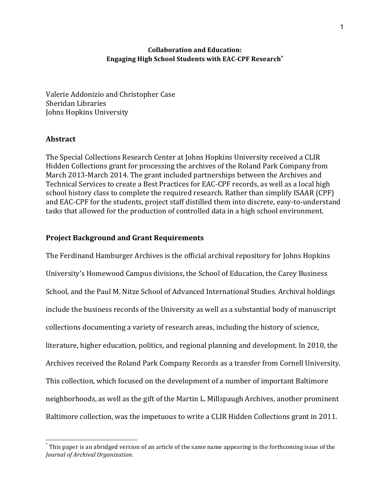## **Collaboration and Education: Engaging High School Students with EAC-CPF Research\***

Valerie Addonizio and Christopher Case Sheridan Libraries Johns Hopkins University

### **Abstract**

The Special Collections Research Center at Johns Hopkins University received a CLIR Hidden Collections grant for processing the archives of the Roland Park Company from March 2013-March 2014. The grant included partnerships between the Archives and Technical Services to create a Best Practices for EAC-CPF records, as well as a local high school history class to complete the required research. Rather than simplify ISAAR (CPF) and EAC-CPF for the students, project staff distilled them into discrete, easy-to-understand tasks that allowed for the production of controlled data in a high school environment.

## **Project Background and Grant Requirements**

The Ferdinand Hamburger Archives is the official archival repository for Johns Hopkins University's Homewood Campus divisions, the School of Education, the Carey Business School, and the Paul M. Nitze School of Advanced International Studies. Archival holdings include the business records of the University as well as a substantial body of manuscript collections documenting a variety of research areas, including the history of science, literature, higher education, politics, and regional planning and development. In 2010, the Archives received the Roland Park Company Records as a transfer from Cornell University. This collection, which focused on the development of a number of important Baltimore neighborhoods, as well as the gift of the Martin L. Millspaugh Archives, another prominent Baltimore collection, was the impetuous to write a CLIR Hidden Collections grant in 2011.

This paper is an abridged version of an article of the same name appearing in the forthcoming issue of the *Journal of Archival Organization.*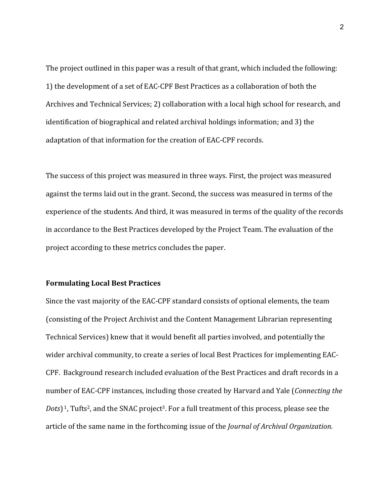The project outlined in this paper was a result of that grant, which included the following: 1) the development of a set of EAC-CPF Best Practices as a collaboration of both the Archives and Technical Services; 2) collaboration with a local high school for research, and identification of biographical and related archival holdings information; and 3) the adaptation of that information for the creation of EAC-CPF records.

The success of this project was measured in three ways. First, the project was measured against the terms laid out in the grant. Second, the success was measured in terms of the experience of the students. And third, it was measured in terms of the quality of the records in accordance to the Best Practices developed by the Project Team. The evaluation of the project according to these metrics concludes the paper.

## **Formulating Local Best Practices**

Since the vast majority of the EAC-CPF standard consists of optional elements, the team (consisting of the Project Archivist and the Content Management Librarian representing Technical Services) knew that it would benefit all parties involved, and potentially the wider archival community, to create a series of local Best Practices for implementing EAC-CPF. Background research included evaluation of the Best Practices and draft records in a number of EAC-CPF instances, including those created by Harvard and Yale (*Connecting the Dots*)<sup>1</sup>, Tufts<sup>2</sup>, and the SNAC project<sup>3</sup>. For a full treatment of this process, please see the article of the same name in the forthcoming issue of the *Journal of Archival Organization*.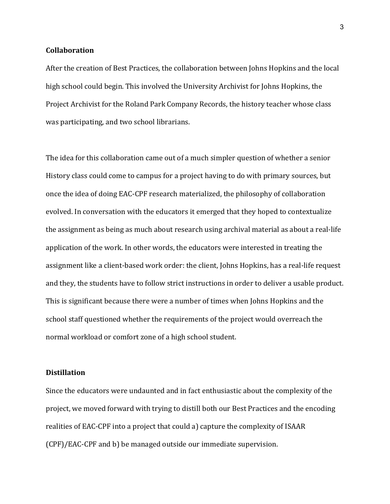**Collaboration**

After the creation of Best Practices, the collaboration between Johns Hopkins and the local high school could begin. This involved the University Archivist for Johns Hopkins, the Project Archivist for the Roland Park Company Records, the history teacher whose class was participating, and two school librarians.

The idea for this collaboration came out of a much simpler question of whether a senior History class could come to campus for a project having to do with primary sources, but once the idea of doing EAC-CPF research materialized, the philosophy of collaboration evolved. In conversation with the educators it emerged that they hoped to contextualize the assignment as being as much about research using archival material as about a real-life application of the work. In other words, the educators were interested in treating the assignment like a client-based work order: the client, Johns Hopkins, has a real-life request and they, the students have to follow strict instructions in order to deliver a usable product. This is significant because there were a number of times when Johns Hopkins and the school staff questioned whether the requirements of the project would overreach the normal workload or comfort zone of a high school student.

## **Distillation**

Since the educators were undaunted and in fact enthusiastic about the complexity of the project, we moved forward with trying to distill both our Best Practices and the encoding realities of EAC-CPF into a project that could a) capture the complexity of ISAAR (CPF)/EAC-CPF and b) be managed outside our immediate supervision.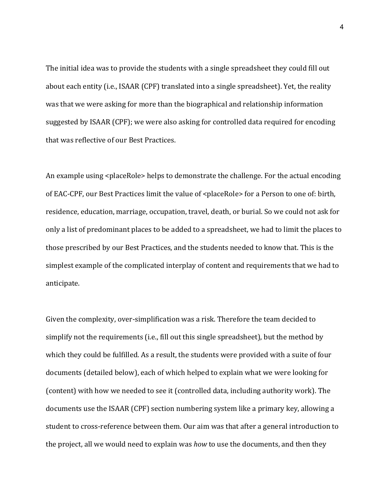The initial idea was to provide the students with a single spreadsheet they could fill out about each entity (i.e., ISAAR (CPF) translated into a single spreadsheet). Yet, the reality was that we were asking for more than the biographical and relationship information suggested by ISAAR (CPF); we were also asking for controlled data required for encoding that was reflective of our Best Practices.

An example using <placeRole> helps to demonstrate the challenge. For the actual encoding of EAC-CPF, our Best Practices limit the value of <placeRole> for a Person to one of: birth, residence, education, marriage, occupation, travel, death, or burial. So we could not ask for only a list of predominant places to be added to a spreadsheet, we had to limit the places to those prescribed by our Best Practices, and the students needed to know that. This is the simplest example of the complicated interplay of content and requirements that we had to anticipate.

Given the complexity, over-simplification was a risk. Therefore the team decided to simplify not the requirements (i.e., fill out this single spreadsheet), but the method by which they could be fulfilled. As a result, the students were provided with a suite of four documents (detailed below), each of which helped to explain what we were looking for (content) with how we needed to see it (controlled data, including authority work). The documents use the ISAAR (CPF) section numbering system like a primary key, allowing a student to cross-reference between them. Our aim was that after a general introduction to the project, all we would need to explain was *how* to use the documents, and then they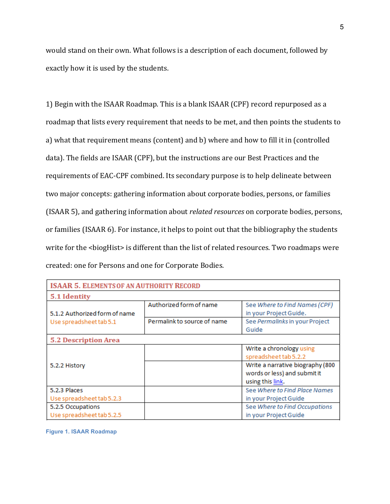would stand on their own. What follows is a description of each document, followed by exactly how it is used by the students.

1) Begin with the ISAAR Roadmap. This is a blank ISAAR (CPF) record repurposed as a roadmap that lists every requirement that needs to be met, and then points the students to a) what that requirement means (content) and b) where and how to fill it in (controlled data). The fields are ISAAR (CPF), but the instructions are our Best Practices and the requirements of EAC-CPF combined. Its secondary purpose is to help delineate between two major concepts: gathering information about corporate bodies, persons, or families (ISAAR 5), and gathering information about *related resources* on corporate bodies, persons, or families (ISAAR 6). For instance, it helps to point out that the bibliography the students write for the <biogHist> is different than the list of related resources. Two roadmaps were created: one for Persons and one for Corporate Bodies.

| <b>ISAAR 5. ELEMENTS OF AN AUTHORITY RECORD</b>          |                             |                                                                                      |  |  |  |  |  |  |
|----------------------------------------------------------|-----------------------------|--------------------------------------------------------------------------------------|--|--|--|--|--|--|
| 5.1 Identity                                             |                             |                                                                                      |  |  |  |  |  |  |
| 5.1.2 Authorized form of name<br>Use spreadsheet tab 5.1 | Authorized form of name     | See Where to Find Names (CPF)<br>in your Project Guide.                              |  |  |  |  |  |  |
|                                                          | Permalink to source of name | See Permalinks in your Project                                                       |  |  |  |  |  |  |
|                                                          |                             | Guide                                                                                |  |  |  |  |  |  |
| <b>5.2 Description Area</b>                              |                             |                                                                                      |  |  |  |  |  |  |
| 5.2.2 History                                            |                             | Write a chronology using<br>spreadsheet tab 5.2.2                                    |  |  |  |  |  |  |
|                                                          |                             | Write a narrative biography (800<br>words or less) and submit it<br>using this link. |  |  |  |  |  |  |
| 5.2.3 Places                                             |                             | See Where to Find Place Names                                                        |  |  |  |  |  |  |
| Use spreadsheet tab 5.2.3                                |                             | in your Project Guide                                                                |  |  |  |  |  |  |
| 5.2.5 Occupations                                        |                             | See Where to Find Occupations                                                        |  |  |  |  |  |  |
| Use spreadsheet tab 5.2.5                                |                             | in your Project Guide                                                                |  |  |  |  |  |  |

**Figure 1. ISAAR Roadmap**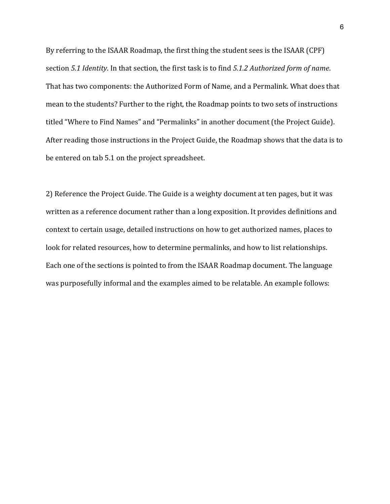By referring to the ISAAR Roadmap, the first thing the student sees is the ISAAR (CPF) section 5.1 *Identity*. In that section, the first task is to find 5.1.2 Authorized form of name. That has two components: the Authorized Form of Name, and a Permalink. What does that mean to the students? Further to the right, the Roadmap points to two sets of instructions titled "Where to Find Names" and "Permalinks" in another document (the Project Guide). After reading those instructions in the Project Guide, the Roadmap shows that the data is to be entered on tab 5.1 on the project spreadsheet.

2) Reference the Project Guide. The Guide is a weighty document at ten pages, but it was written as a reference document rather than a long exposition. It provides definitions and context to certain usage, detailed instructions on how to get authorized names, places to look for related resources, how to determine permalinks, and how to list relationships. Each one of the sections is pointed to from the ISAAR Roadmap document. The language was purposefully informal and the examples aimed to be relatable. An example follows: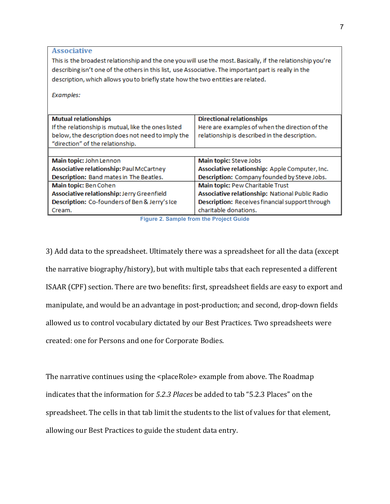**Associative** This is the broadest relationship and the one you will use the most. Basically, if the relationship you're describing isn't one of the others in this list, use Associative. The important part is really in the description, which allows you to briefly state how the two entities are related. Examples: **Mutual relationships Directional relationships** If the relationship is mutual, like the ones listed Here are examples of when the direction of the below, the description does not need to imply the relationship is described in the description. "direction" of the relationship. Main topic: John Lennon Main topic: Steve Jobs Associative relationship: Paul McCartney Associative relationship: Apple Computer, Inc. Description: Band mates in The Beatles. Description: Company founded by Steve Jobs.

Main topic: Ben Cohen Main topic: Pew Charitable Trust Associative relationship: Jerry Greenfield Associative relationship: National Public Radio Description: Co-founders of Ben & Jerry's Ice Description: Receives financial support through Cream. charitable donations.

**Figure 2. Sample from the Project Guide**

3) Add data to the spreadsheet. Ultimately there was a spreadsheet for all the data (except the narrative biography/history), but with multiple tabs that each represented a different ISAAR (CPF) section. There are two benefits: first, spreadsheet fields are easy to export and manipulate, and would be an advantage in post-production; and second, drop-down fields allowed us to control vocabulary dictated by our Best Practices. Two spreadsheets were created: one for Persons and one for Corporate Bodies.

The narrative continues using the <placeRole> example from above. The Roadmap indicates that the information for 5.2.3 *Places* be added to tab "5.2.3 Places" on the spreadsheet. The cells in that tab limit the students to the list of values for that element, allowing our Best Practices to guide the student data entry.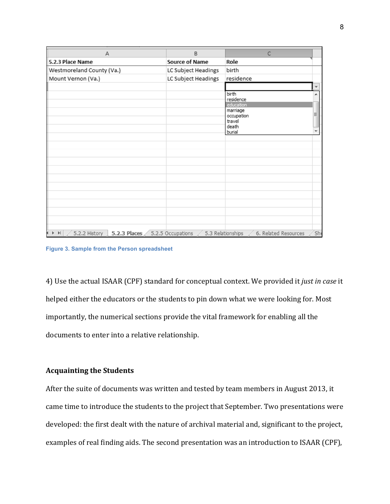| $\overline{A}$                                                          | B                     | $\mathsf{C}$                              |     |
|-------------------------------------------------------------------------|-----------------------|-------------------------------------------|-----|
| 5.2.3 Place Name                                                        | <b>Source of Name</b> | Role                                      |     |
| Westmoreland County (Va.)                                               | LC Subject Headings   | birth                                     |     |
| Mount Vernon (Va.)                                                      | LC Subject Headings   | residence                                 |     |
|                                                                         |                       |                                           |     |
|                                                                         |                       | birth                                     |     |
|                                                                         |                       | residence<br>education                    |     |
|                                                                         |                       | marriage                                  |     |
|                                                                         |                       | occupation<br>travel                      | Ξ   |
|                                                                         |                       | death                                     |     |
|                                                                         |                       | burial                                    |     |
|                                                                         |                       |                                           |     |
|                                                                         |                       |                                           |     |
|                                                                         |                       |                                           |     |
|                                                                         |                       |                                           |     |
|                                                                         |                       |                                           |     |
|                                                                         |                       |                                           |     |
|                                                                         |                       |                                           |     |
|                                                                         |                       |                                           |     |
|                                                                         |                       |                                           |     |
|                                                                         |                       |                                           |     |
|                                                                         |                       |                                           |     |
|                                                                         |                       |                                           |     |
| 5.2.2 History<br>5.2.3 Places<br>$\blacktriangleright$<br>$\rightarrow$ | 5.2.5 Occupations     | 5.3 Relationships<br>6. Related Resources | Sh6 |

**Figure 3. Sample from the Person spreadsheet**

4) Use the actual ISAAR (CPF) standard for conceptual context. We provided it *just in case* it helped either the educators or the students to pin down what we were looking for. Most importantly, the numerical sections provide the vital framework for enabling all the documents to enter into a relative relationship.

## **Acquainting the Students**

After the suite of documents was written and tested by team members in August 2013, it came time to introduce the students to the project that September. Two presentations were developed: the first dealt with the nature of archival material and, significant to the project, examples of real finding aids. The second presentation was an introduction to ISAAR (CPF),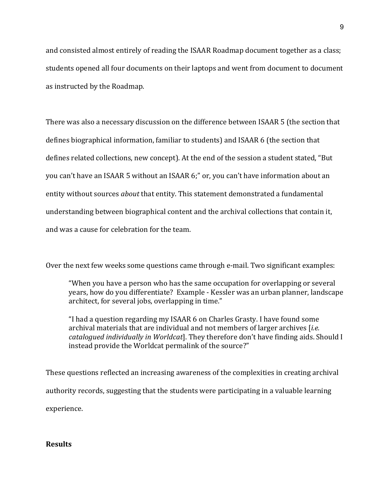and consisted almost entirely of reading the ISAAR Roadmap document together as a class; students opened all four documents on their laptops and went from document to document as instructed by the Roadmap.

There was also a necessary discussion on the difference between ISAAR 5 (the section that defines biographical information, familiar to students) and ISAAR 6 (the section that defines related collections, new concept). At the end of the session a student stated, "But you can't have an ISAAR 5 without an ISAAR 6;" or, you can't have information about an entity without sources *about* that entity. This statement demonstrated a fundamental understanding between biographical content and the archival collections that contain it, and was a cause for celebration for the team.

Over the next few weeks some questions came through e-mail. Two significant examples:

"When you have a person who has the same occupation for overlapping or several years, how do you differentiate? Example - Kessler was an urban planner, landscape architect, for several jobs, overlapping in time."

"I had a question regarding my ISAAR 6 on Charles Grasty. I have found some archival materials that are individual and not members of larger archives [*i.e. cataloqued individually in Worldcat*]. They therefore don't have finding aids. Should I instead provide the Worldcat permalink of the source?"

These questions reflected an increasing awareness of the complexities in creating archival authority records, suggesting that the students were participating in a valuable learning experience.

**Results**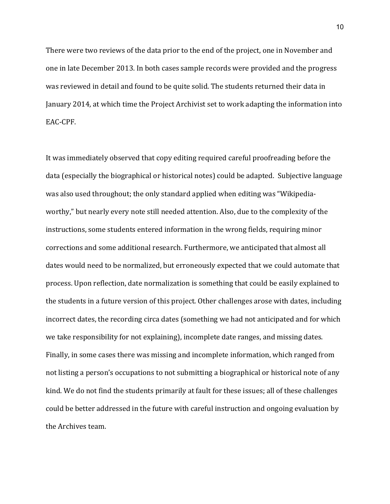There were two reviews of the data prior to the end of the project, one in November and one in late December 2013. In both cases sample records were provided and the progress was reviewed in detail and found to be quite solid. The students returned their data in January 2014, at which time the Project Archivist set to work adapting the information into EAC-CPF. 

It was immediately observed that copy editing required careful proofreading before the data (especially the biographical or historical notes) could be adapted. Subjective language was also used throughout; the only standard applied when editing was "Wikipediaworthy," but nearly every note still needed attention. Also, due to the complexity of the instructions, some students entered information in the wrong fields, requiring minor corrections and some additional research. Furthermore, we anticipated that almost all dates would need to be normalized, but erroneously expected that we could automate that process. Upon reflection, date normalization is something that could be easily explained to the students in a future version of this project. Other challenges arose with dates, including incorrect dates, the recording circa dates (something we had not anticipated and for which we take responsibility for not explaining), incomplete date ranges, and missing dates. Finally, in some cases there was missing and incomplete information, which ranged from not listing a person's occupations to not submitting a biographical or historical note of any kind. We do not find the students primarily at fault for these issues; all of these challenges could be better addressed in the future with careful instruction and ongoing evaluation by the Archives team.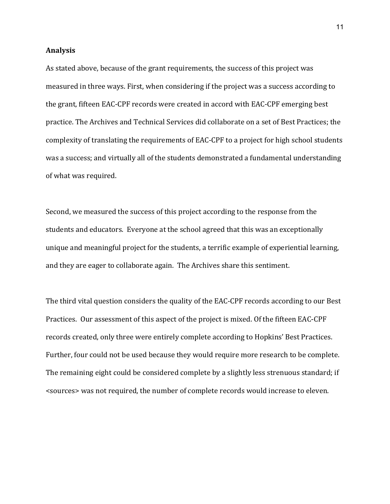### **Analysis**

As stated above, because of the grant requirements, the success of this project was measured in three ways. First, when considering if the project was a success according to the grant, fifteen EAC-CPF records were created in accord with EAC-CPF emerging best practice. The Archives and Technical Services did collaborate on a set of Best Practices; the complexity of translating the requirements of EAC-CPF to a project for high school students was a success; and virtually all of the students demonstrated a fundamental understanding of what was required.

Second, we measured the success of this project according to the response from the students and educators. Everyone at the school agreed that this was an exceptionally unique and meaningful project for the students, a terrific example of experiential learning, and they are eager to collaborate again. The Archives share this sentiment.

The third vital question considers the quality of the EAC-CPF records according to our Best Practices. Our assessment of this aspect of the project is mixed. Of the fifteen EAC-CPF records created, only three were entirely complete according to Hopkins' Best Practices. Further, four could not be used because they would require more research to be complete. The remaining eight could be considered complete by a slightly less strenuous standard; if <sources> was not required, the number of complete records would increase to eleven.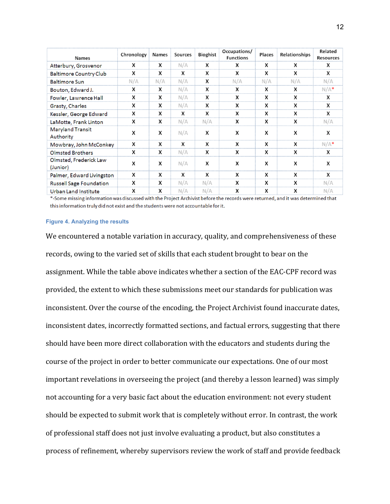| <b>Names</b>                       | Chronology | Names | <b>Sources</b> | <b>Bioghist</b> | Occupations/<br><b>Functions</b> | Places | Relationships | Related<br><b>Resources</b> |
|------------------------------------|------------|-------|----------------|-----------------|----------------------------------|--------|---------------|-----------------------------|
| Atterbury, Grosvenor               | х          | x     | N/A            | x               | x                                | x      | x             | x                           |
| <b>Baltimore Country Club</b>      | x          | x     | x              | x               | x                                | x      | X             | x                           |
| <b>Baltimore Sun</b>               | N/A        | N/A   | N/A            | x               | N/A                              | N/A    | N/A           | N/A                         |
| Bouton, Edward J.                  | x          | x     | N/A            | x               | x                                | x      | x             | $N/A*$                      |
| Fowler, Lawrence Hall              | Х          | x     | N/A            | X               | x                                | x      | X             | x                           |
| Grasty, Charles                    | x          | x     | N/A            | X               | x                                | X      | X             | X                           |
| Kessler, George Edward             | Х          | X     | X              | X               | x                                | x      | X             | X                           |
| LaMotte, Frank Linton              | х          | x     | N/A            | N/A             | х                                | x      | x             | N/A                         |
| Maryland Transit<br>Authority      | x          | X     | N/A            | X               | X                                | x      | x             | x                           |
| Mowbray, John McConkey             | X          | x     | x              | x               | x                                | x      | x             | $N/A*$                      |
| <b>Olmsted Brothers</b>            | x          | x     | N/A            | x               | x                                | x      | X             | x                           |
| Olmsted, Frederick Law<br>(Junior) | X          | X     | N/A            | X               | x                                | x      | X             | x                           |
| Palmer, Edward Livingston          | x          | x     | x              | X               | x                                | x      | x             | X                           |
| <b>Russell Sage Foundation</b>     | X          | x     | N/A            | N/A             | x                                | x      | X             | N/A                         |
| <b>Urban Land Institute</b>        | X          | X     | N/A            | N/A             | x                                | x      | X             | N/A                         |

\*-Some missing information was discussed with the Project Archivist before the records were returned, and it was determined that this information truly did not exist and the students were not accountable for it.

#### **Figure 4. Analyzing the results**

We encountered a notable variation in accuracy, quality, and comprehensiveness of these records, owing to the varied set of skills that each student brought to bear on the assignment. While the table above indicates whether a section of the EAC-CPF record was provided, the extent to which these submissions meet our standards for publication was inconsistent. Over the course of the encoding, the Project Archivist found inaccurate dates, inconsistent dates, incorrectly formatted sections, and factual errors, suggesting that there should have been more direct collaboration with the educators and students during the course of the project in order to better communicate our expectations. One of our most important revelations in overseeing the project (and thereby a lesson learned) was simply not accounting for a very basic fact about the education environment: not every student should be expected to submit work that is completely without error. In contrast, the work of professional staff does not just involve evaluating a product, but also constitutes a process of refinement, whereby supervisors review the work of staff and provide feedback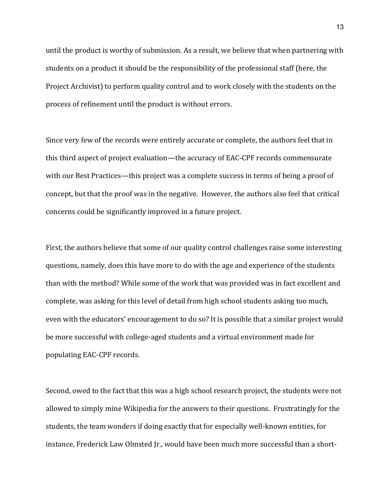until the product is worthy of submission. As a result, we believe that when partnering with students on a product it should be the responsibility of the professional staff (here, the Project Archivist) to perform quality control and to work closely with the students on the process of refinement until the product is without errors.

Since very few of the records were entirely accurate or complete, the authors feel that in this third aspect of project evaluation—the accuracy of EAC-CPF records commensurate with our Best Practices—this project was a complete success in terms of being a proof of concept, but that the proof was in the negative. However, the authors also feel that critical concerns could be significantly improved in a future project.

First, the authors believe that some of our quality control challenges raise some interesting questions, namely, does this have more to do with the age and experience of the students than with the method? While some of the work that was provided was in fact excellent and complete, was asking for this level of detail from high school students asking too much, even with the educators' encouragement to do so? It is possible that a similar project would be more successful with college-aged students and a virtual environment made for populating EAC-CPF records.

Second, owed to the fact that this was a high school research project, the students were not allowed to simply mine Wikipedia for the answers to their questions. Frustratingly for the students, the team wonders if doing exactly that for especially well-known entities, for instance, Frederick Law Olmsted Jr., would have been much more successful than a short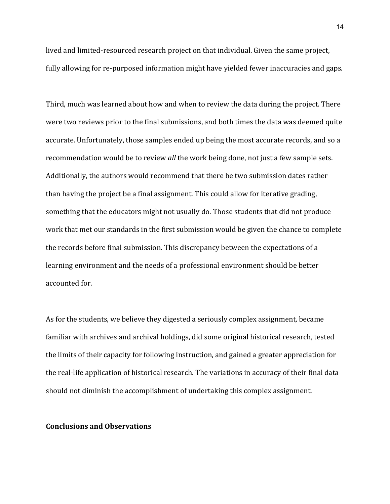lived and limited-resourced research project on that individual. Given the same project, fully allowing for re-purposed information might have yielded fewer inaccuracies and gaps.

Third, much was learned about how and when to review the data during the project. There were two reviews prior to the final submissions, and both times the data was deemed quite accurate. Unfortunately, those samples ended up being the most accurate records, and so a recommendation would be to review *all* the work being done, not just a few sample sets. Additionally, the authors would recommend that there be two submission dates rather than having the project be a final assignment. This could allow for iterative grading, something that the educators might not usually do. Those students that did not produce work that met our standards in the first submission would be given the chance to complete the records before final submission. This discrepancy between the expectations of a learning environment and the needs of a professional environment should be better accounted for.

As for the students, we believe they digested a seriously complex assignment, became familiar with archives and archival holdings, did some original historical research, tested the limits of their capacity for following instruction, and gained a greater appreciation for the real-life application of historical research. The variations in accuracy of their final data should not diminish the accomplishment of undertaking this complex assignment.

### **Conclusions and Observations**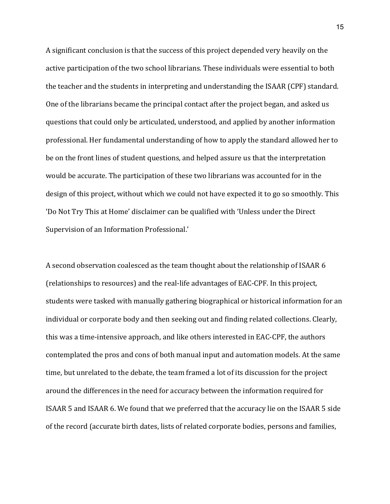A significant conclusion is that the success of this project depended very heavily on the active participation of the two school librarians. These individuals were essential to both the teacher and the students in interpreting and understanding the ISAAR (CPF) standard. One of the librarians became the principal contact after the project began, and asked us questions that could only be articulated, understood, and applied by another information professional. Her fundamental understanding of how to apply the standard allowed her to be on the front lines of student questions, and helped assure us that the interpretation would be accurate. The participation of these two librarians was accounted for in the design of this project, without which we could not have expected it to go so smoothly. This 'Do Not Try This at Home' disclaimer can be qualified with 'Unless under the Direct Supervision of an Information Professional.'

A second observation coalesced as the team thought about the relationship of ISAAR 6 (relationships to resources) and the real-life advantages of EAC-CPF. In this project, students were tasked with manually gathering biographical or historical information for an individual or corporate body and then seeking out and finding related collections. Clearly, this was a time-intensive approach, and like others interested in EAC-CPF, the authors contemplated the pros and cons of both manual input and automation models. At the same time, but unrelated to the debate, the team framed a lot of its discussion for the project around the differences in the need for accuracy between the information required for ISAAR 5 and ISAAR 6. We found that we preferred that the accuracy lie on the ISAAR 5 side of the record (accurate birth dates, lists of related corporate bodies, persons and families,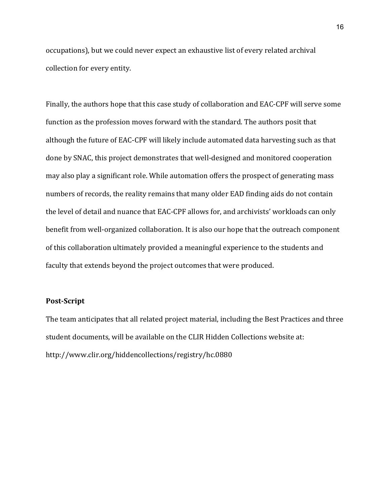occupations), but we could never expect an exhaustive list of every related archival collection for every entity.

Finally, the authors hope that this case study of collaboration and EAC-CPF will serve some function as the profession moves forward with the standard. The authors posit that although the future of EAC-CPF will likely include automated data harvesting such as that done by SNAC, this project demonstrates that well-designed and monitored cooperation may also play a significant role. While automation offers the prospect of generating mass numbers of records, the reality remains that many older EAD finding aids do not contain the level of detail and nuance that EAC-CPF allows for, and archivists' workloads can only benefit from well-organized collaboration. It is also our hope that the outreach component of this collaboration ultimately provided a meaningful experience to the students and faculty that extends beyond the project outcomes that were produced.

## **Post-Script**

The team anticipates that all related project material, including the Best Practices and three student documents, will be available on the CLIR Hidden Collections website at: http://www.clir.org/hiddencollections/registry/hc.0880